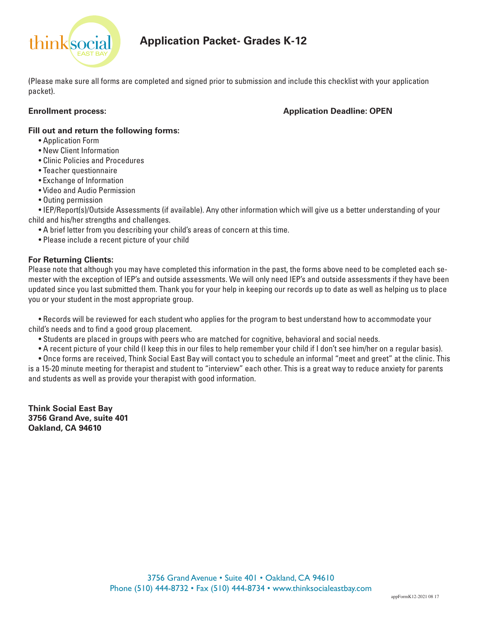

# **Application Packet- Grades K-12**

(Please make sure all forms are completed and signed prior to submission and include this checklist with your application packet).

## **Enrollment process: Application Deadline: OPEN**

#### **Fill out and return the following forms:**

- Application Form
- New Client Information
- Clinic Policies and Procedures
- Teacher questionnaire
- Exchange of Information
- Video and Audio Permission
- Outing permission

• IEP/Report(s)/Outside Assessments (if available). Any other information which will give us a better understanding of your child and his/her strengths and challenges.

- A brief letter from you describing your child's areas of concern at this time.
- Please include a recent picture of your child

## **For Returning Clients:**

Please note that although you may have completed this information in the past, the forms above need to be completed each semester with the exception of IEP's and outside assessments. We will only need IEP's and outside assessments if they have been updated since you last submitted them. Thank you for your help in keeping our records up to date as well as helping us to place you or your student in the most appropriate group.

• Records will be reviewed for each student who applies for the program to best understand how to accommodate your child's needs and to find a good group placement.

- Students are placed in groups with peers who are matched for cognitive, behavioral and social needs.
- A recent picture of your child (I keep this in our files to help remember your child if I don't see him/her on a regular basis).
- Once forms are received, Think Social East Bay will contact you to schedule an informal "meet and greet" at the clinic. This

is a 15-20 minute meeting for therapist and student to "interview" each other. This is a great way to reduce anxiety for parents and students as well as provide your therapist with good information.

**Think Social East Bay 3756 Grand Ave, suite 401 Oakland, CA 94610**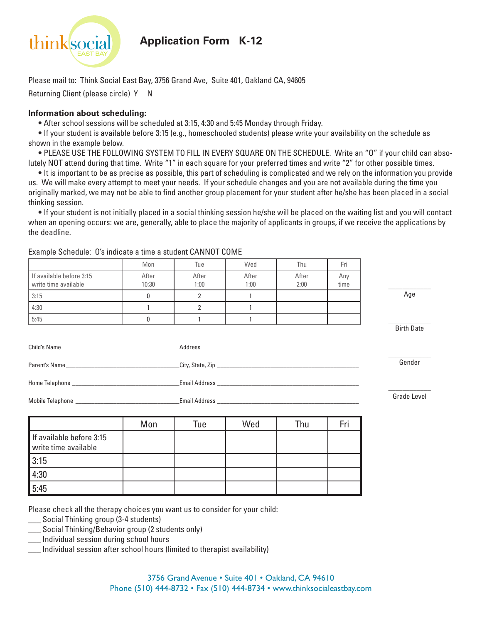

**Application Form K-12**

Please mail to: Think Social East Bay, 3756 Grand Ave, Suite 401, Oakland CA, 94605 Returning Client (please circle) Y N

#### **Information about scheduling:**

**•** After school sessions will be scheduled at 3:15, 4:30 and 5:45 Monday through Friday.

**•** If your student is available before 3:15 (e.g., homeschooled students) please write your availability on the schedule as shown in the example below.

**•** PLEASE USE THE FOLLOWING SYSTEM TO FILL IN EVERY SQUARE ON THE SCHEDULE. Write an "O" if your child can absolutely NOT attend during that time. Write "1" in each square for your preferred times and write "2" for other possible times.

**•** It is important to be as precise as possible, this part of scheduling is complicated and we rely on the information you provide

us. We will make every attempt to meet your needs. If your schedule changes and you are not available during the time you originally marked, we may not be able to find another group placement for your student after he/she has been placed in a social thinking session.

**•** If your student is not initially placed in a social thinking session he/she will be placed on the waiting list and you will contact when an opening occurs: we are, generally, able to place the majority of applicants in groups, if we receive the applications by the deadline.

|                                                  | Mon            | Tue            | Wed           | Thu           | Fri         |                   |
|--------------------------------------------------|----------------|----------------|---------------|---------------|-------------|-------------------|
| If available before 3:15<br>write time available | After<br>10:30 | After<br>1:00  | After<br>1:00 | After<br>2:00 | Any<br>time |                   |
| 3:15                                             | $\mathbf{0}$   | $\overline{2}$ | $\mathbf{1}$  |               |             | Age               |
| 4:30                                             | $\mathbf{1}$   | $\overline{2}$ | $\mathbf{1}$  |               |             |                   |
| 5:45                                             | 0              | $\mathbf{1}$   | 1             |               |             |                   |
|                                                  |                |                |               |               |             | <b>Birth Date</b> |
|                                                  |                |                |               |               |             |                   |
|                                                  |                |                |               |               | Gender      |                   |
|                                                  |                |                |               |               |             |                   |
|                                                  |                |                |               |               |             | Grade Level       |
|                                                  | Mon            | Tue            | Wed           | Thu           | Fri         |                   |
| If available before 3:15<br>write time available |                |                |               |               |             |                   |
| 3:15                                             |                |                |               |               |             |                   |
| 4:30                                             |                |                |               |               |             |                   |
| 5:45                                             |                |                |               |               |             |                   |

Example Schedule: O's indicate a time a student CANNOT COME

Please check all the therapy choices you want us to consider for your child:

- \_\_\_ Social Thinking group (3-4 students)
- Social Thinking/Behavior group (2 students only)
- Individual session during school hours

Individual session after school hours (limited to therapist availability)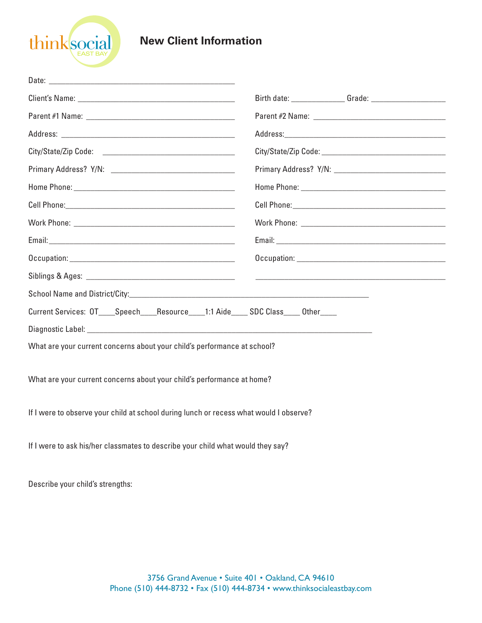

# **New Client Information**

| Current Services: OT_____Speech_____Resource_____1:1 Aide_____ SDC Class_____ Other____ |  |  |  |
|-----------------------------------------------------------------------------------------|--|--|--|
|                                                                                         |  |  |  |
| What are your current concerns about your child's performance at school?                |  |  |  |
| What are your current concerns about your child's performance at home?                  |  |  |  |
| If I were to observe your child at school during lunch or recess what would I observe?  |  |  |  |
| If I were to ask his/her classmates to describe your child what would they say?         |  |  |  |

Describe your child's strengths: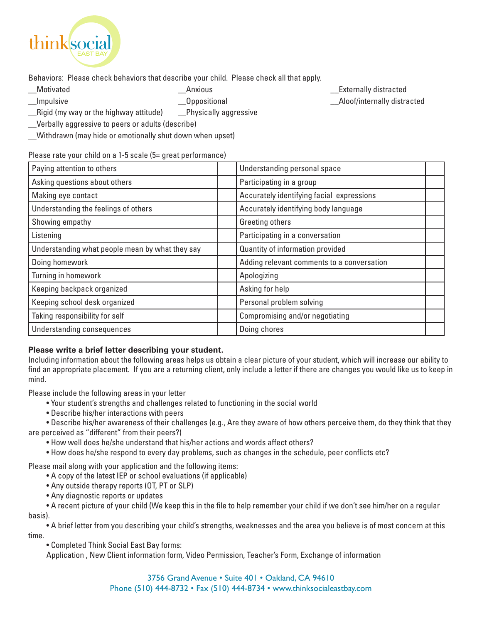

Behaviors: Please check behaviors that describe your child. Please check all that apply.

\_\_Rigid (my way or the highway attitude) \_\_Physically aggressive

\_\_Verbally aggressive to peers or adults (describe)

\_\_Withdrawn (may hide or emotionally shut down when upset)

Please rate your child on a 1-5 scale (5= great performance)

| Paying attention to others                      | Understanding personal space               |
|-------------------------------------------------|--------------------------------------------|
| Asking questions about others                   | Participating in a group                   |
| Making eye contact                              | Accurately identifying facial expressions  |
| Understanding the feelings of others            | Accurately identifying body language       |
| Showing empathy                                 | Greeting others                            |
| Listening                                       | Participating in a conversation            |
| Understanding what people mean by what they say | Quantity of information provided           |
| Doing homework                                  | Adding relevant comments to a conversation |
| Turning in homework                             | Apologizing                                |
| Keeping backpack organized                      | Asking for help                            |
| Keeping school desk organized                   | Personal problem solving                   |
| Taking responsibility for self                  | Compromising and/or negotiating            |
| Understanding consequences                      | Doing chores                               |

# **Please write a brief letter describing your student.**

Including information about the following areas helps us obtain a clear picture of your student, which will increase our ability to find an appropriate placement. If you are a returning client, only include a letter if there are changes you would like us to keep in mind.

Please include the following areas in your letter

- Your student's strengths and challenges related to functioning in the social world
- Describe his/her interactions with peers

• Describe his/her awareness of their challenges (e.g., Are they aware of how others perceive them, do they think that they are perceived as "different" from their peers?)

• How well does he/she understand that his/her actions and words affect others?

• How does he/she respond to every day problems, such as changes in the schedule, peer conflicts etc?

Please mail along with your application and the following items:

- A copy of the latest IEP or school evaluations (if applicable)
- Any outside therapy reports (OT, PT or SLP)
- Any diagnostic reports or updates

• A recent picture of your child (We keep this in the file to help remember your child if we don't see him/her on a regular basis).

• A brief letter from you describing your child's strengths, weaknesses and the area you believe is of most concern at this time.

• Completed Think Social East Bay forms:

Application , New Client information form, Video Permission, Teacher's Form, Exchange of information

\_\_Motivated \_\_Anxious \_\_Externally distracted Impulsive a controller controller controller controller controller controller controller controller controller controller controller controller controller controller controller controller controller controller controller c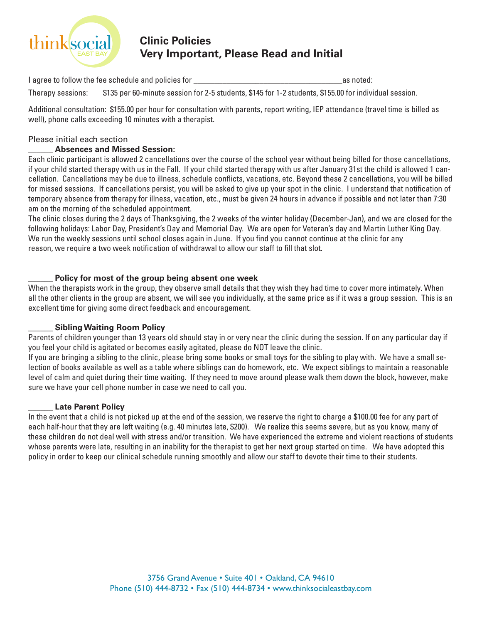

# **Clinic Policies Very Important, Please Read and Initial**

I agree to follow the fee schedule and policies for the same of the same of the same of the same of the same of the same of the same of the same of the same of the same of the same of the same of the same of the same of th

Therapy sessions: \$135 per 60-minute session for 2-5 students, \$145 for 1-2 students, \$155.00 for individual session.

Additional consultation: \$155.00 per hour for consultation with parents, report writing, IEP attendance (travel time is billed as well), phone calls exceeding 10 minutes with a therapist.

#### Please initial each section

## \_\_\_\_\_\_ **Absences and Missed Session:**

Each clinic participant is allowed 2 cancellations over the course of the school year without being billed for those cancellations, if your child started therapy with us in the Fall. If your child started therapy with us after January 31st the child is allowed 1 cancellation. Cancellations may be due to illness, schedule conflicts, vacations, etc. Beyond these 2 cancellations, you will be billed for missed sessions. If cancellations persist, you will be asked to give up your spot in the clinic. I understand that notification of temporary absence from therapy for illness, vacation, etc., must be given 24 hours in advance if possible and not later than 7:30 am on the morning of the scheduled appointment.

The clinic closes during the 2 days of Thanksgiving, the 2 weeks of the winter holiday (December-Jan), and we are closed for the following holidays: Labor Day, President's Day and Memorial Day. We are open for Veteran's day and Martin Luther King Day. We run the weekly sessions until school closes again in June. If you find you cannot continue at the clinic for any reason, we require a two week notification of withdrawal to allow our staff to fill that slot.

## \_\_\_\_\_\_ **Policy for most of the group being absent one week**

When the therapists work in the group, they observe small details that they wish they had time to cover more intimately. When all the other clients in the group are absent, we will see you individually, at the same price as if it was a group session. This is an excellent time for giving some direct feedback and encouragement.

## \_\_\_\_\_\_ **Sibling Waiting Room Policy**

Parents of children younger than 13 years old should stay in or very near the clinic during the session. If on any particular day if you feel your child is agitated or becomes easily agitated, please do NOT leave the clinic.

If you are bringing a sibling to the clinic, please bring some books or small toys for the sibling to play with. We have a small selection of books available as well as a table where siblings can do homework, etc. We expect siblings to maintain a reasonable level of calm and quiet during their time waiting. If they need to move around please walk them down the block, however, make sure we have your cell phone number in case we need to call you.

## \_\_\_\_\_\_ **Late Parent Policy**

In the event that a child is not picked up at the end of the session, we reserve the right to charge a \$100.00 fee for any part of each half-hour that they are left waiting (e.g. 40 minutes late, \$200). We realize this seems severe, but as you know, many of these children do not deal well with stress and/or transition. We have experienced the extreme and violent reactions of students whose parents were late, resulting in an inability for the therapist to get her next group started on time. We have adopted this policy in order to keep our clinical schedule running smoothly and allow our staff to devote their time to their students.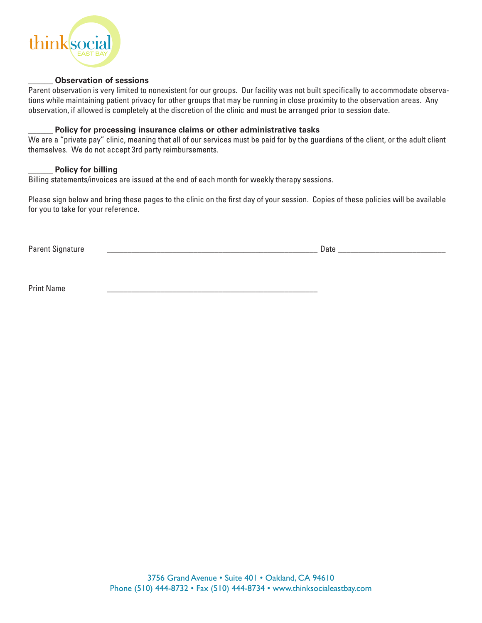

#### \_\_\_\_\_\_ **Observation of sessions**

Parent observation is very limited to nonexistent for our groups. Our facility was not built specifically to accommodate observations while maintaining patient privacy for other groups that may be running in close proximity to the observation areas. Any observation, if allowed is completely at the discretion of the clinic and must be arranged prior to session date.

#### \_\_\_\_\_\_ **Policy for processing insurance claims or other administrative tasks**

We are a "private pay" clinic, meaning that all of our services must be paid for by the guardians of the client, or the adult client themselves. We do not accept 3rd party reimbursements.

#### \_\_\_\_\_\_ **Policy for billing**

Billing statements/invoices are issued at the end of each month for weekly therapy sessions.

Please sign below and bring these pages to the clinic on the first day of your session. Copies of these policies will be available for you to take for your reference.

Parent Signature \_\_\_\_\_\_\_\_\_\_\_\_\_\_\_\_\_\_\_\_\_\_\_\_\_\_\_\_\_\_\_\_\_\_\_\_\_\_\_\_\_\_\_\_\_\_\_\_\_\_\_ Date \_\_\_\_\_\_\_\_\_\_\_\_\_\_\_\_\_\_\_\_\_\_\_\_\_\_

Print Name \_\_\_\_\_\_\_\_\_\_\_\_\_\_\_\_\_\_\_\_\_\_\_\_\_\_\_\_\_\_\_\_\_\_\_\_\_\_\_\_\_\_\_\_\_\_\_\_\_\_\_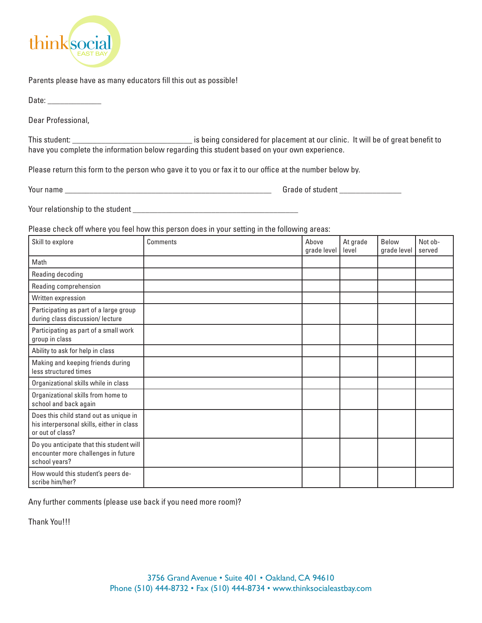

Parents please have as many educators fill this out as possible!

Date:

Dear Professional,

This student: \_\_\_\_\_\_\_\_\_\_\_\_\_\_\_\_\_\_\_\_\_\_\_\_\_\_\_\_\_ is being considered for placement at our clinic. It will be of great benefit to have you complete the information below regarding this student based on your own experience.

Please return this form to the person who gave it to you or fax it to our office at the number below by.

Your name \_\_\_\_\_\_\_\_\_\_\_\_\_\_\_\_\_\_\_\_\_\_\_\_\_\_\_\_\_\_\_\_\_\_\_\_\_\_\_\_\_\_\_\_\_\_\_\_\_\_ Grade of student \_\_\_\_\_\_\_\_\_\_\_\_\_\_\_ Your relationship to the student \_\_\_\_\_\_\_\_\_\_\_\_\_\_\_\_\_\_\_\_\_\_\_\_\_\_\_\_\_\_\_\_\_\_\_\_\_\_\_\_

Please check off where you feel how this person does in your setting in the following areas:

| Skill to explore                                                                                        | <b>Comments</b> | Above<br>grade level | At grade<br>level | Below<br>grade level | Not ob-<br>served |
|---------------------------------------------------------------------------------------------------------|-----------------|----------------------|-------------------|----------------------|-------------------|
| Math                                                                                                    |                 |                      |                   |                      |                   |
| Reading decoding                                                                                        |                 |                      |                   |                      |                   |
| Reading comprehension                                                                                   |                 |                      |                   |                      |                   |
| Written expression                                                                                      |                 |                      |                   |                      |                   |
| Participating as part of a large group<br>during class discussion/ lecture                              |                 |                      |                   |                      |                   |
| Participating as part of a small work<br>group in class                                                 |                 |                      |                   |                      |                   |
| Ability to ask for help in class                                                                        |                 |                      |                   |                      |                   |
| Making and keeping friends during<br>less structured times                                              |                 |                      |                   |                      |                   |
| Organizational skills while in class                                                                    |                 |                      |                   |                      |                   |
| Organizational skills from home to<br>school and back again                                             |                 |                      |                   |                      |                   |
| Does this child stand out as unique in<br>his interpersonal skills, either in class<br>or out of class? |                 |                      |                   |                      |                   |
| Do you anticipate that this student will<br>encounter more challenges in future<br>school years?        |                 |                      |                   |                      |                   |
| How would this student's peers de-<br>scribe him/her?                                                   |                 |                      |                   |                      |                   |

Any further comments (please use back if you need more room)?

Thank You!!!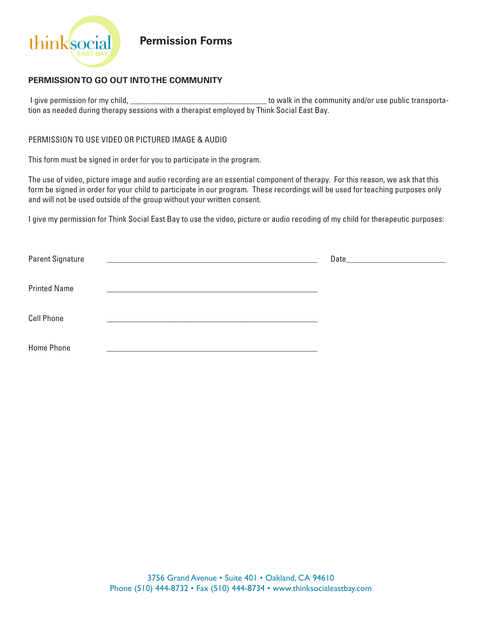

**Permission Forms**

## **PERMISSION TO GO OUT INTO THE COMMUNITY**

 I give permission for my child, \_\_\_\_\_\_\_\_\_\_\_\_\_\_\_\_\_\_\_\_\_\_\_\_\_\_\_\_\_\_\_\_\_ to walk in the community and/or use public transportation as needed during therapy sessions with a therapist employed by Think Social East Bay.

#### PERMISSION TO USE VIDEO OR PICTURED IMAGE & AUDIO

This form must be signed in order for you to participate in the program.

The use of video, picture image and audio recording are an essential component of therapy. For this reason, we ask that this form be signed in order for your child to participate in our program. These recordings will be used for teaching purposes only and will not be used outside of the group without your written consent.

I give my permission for Think Social East Bay to use the video, picture or audio recoding of my child for therapeutic purposes:

| Parent Signature    |                                                                                                                      |  |
|---------------------|----------------------------------------------------------------------------------------------------------------------|--|
| <b>Printed Name</b> | <u> 2001 - Maria Alemania, mpanda a mpanda a mpanda a mpanda a mpanda a mpanda a mpanda a mpanda a mpanda a mpan</u> |  |
| <b>Cell Phone</b>   |                                                                                                                      |  |
| <b>Home Phone</b>   |                                                                                                                      |  |